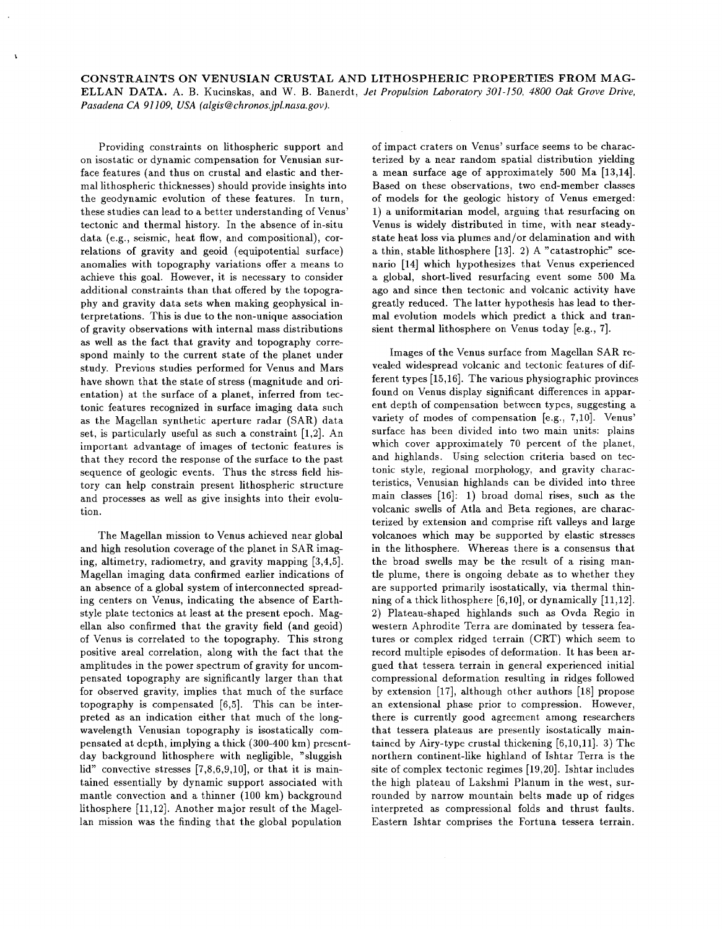**CONSTRAINTS ON VENUSIAN CRUSTAL AND LITHOSPHERIC PROPERTIES FROM MAG-ELLAN DATA.** A. B. Kucinskas. and W. B. Banerdt, *Jet Propulsion Laboratory 301-150, 4800 Oak Grove Drive, Pasadena CA 91 109, USA (algis@chronos.jpl.nasa.gov).* 

Providing constraints on lithospheric support and on isostatic or dynamic compensation for Venusian surface features (and thus on crustal and elastic and thermal lithospheric thicknesses) should provide insights into the geodynamic evolution of these features. In turn, these studies can lead to a better understanding of Venus' tectonic and thermal history. In the absence of in-situ data (e.g., seismic, heat flow, and compositional), correlations of gravity and geoid (equipotential surface) anomalies with topography variations offer a means to achieve this goal. However, it is necessary to consider additional constraints than that offered by the topography and gravity data sets when making geophysical interpretations. This is due to the non-unique association of gravity observations with internal mass distributions as well as the fact that gravity and topography correspond mainly to the current state of the planet under study. Previous studies performed for Venus and Mars have shown that the state of stress (magnitude and orientation) at the surface of a planet, inferred from tectonic features recognized in surface imaging data such as the Magellan synthetic aperture radar (SAR) data set, is particularly useful as such a constraint **[l,2].** An important advantage of images of tectonic features is that they record the response of the surface to the past sequence of geologic events. Thus the stress field history can help constrain present lithospheric structure and processes as well as give insights into their evolution.

The Magellan mission to Venus achieved near global and high resolution coverage of the planet in SAR imaging, altimetry, radiometry, and gravity mapping **[3,4,5].**  Magellan imaging data confirmed earlier indications of an absence of a global system of interconnected spreading centers on Venus, indicating the absence of Earthstyle plate tectonics at least at the present epoch. Magellan also confirmed that the gravity field (and geoid) of Venus is correlated to the topography. This strong positive areal correlation, along with the fact that the amplitudes in the power spectrum of gravity for uncompensated topography are significantly larger than that for observed gravity, implies that much of the surface topography is compensated **[6,5].** This can be interpreted as an indication either that much of the longwavelength Venusian topography is isostatically compensated at depth, implying a thick **(300-400** km) presentday background lithosphere with negligible, "sluggish lid" convective stresses **[7,8,6,9,10],** or that it is maintained essentially by dynamic support associated with mantle convection and a thinner **(100** km) background lithosphere **[11,12].** Another major result of the Magellan mission was the finding that the global population

of impact craters on Venus' surface seems to be characterized by a near random spatial distribution yielding a mean surface age of approximately **500** Ma **[13,14].**  Based on these observations, two end-member classes of models for the geologic history of Venus emerged: **1)** a uniformitarian model, arguing that resurfacing on Venus is widely distributed in time, with near steadystate heat loss via plumes and/or delamination and with a thin, stable lithosphere [13]. 2) A "catastrophic" scenario **[14]** which hypothesizes that Venus experienced a global, short-lived resurfacing event some **500** Ma ago and since then tectonic and volcanic activity have greatly reduced. The latter hypothesis has lead to thermal evolution models which predict a thick and transient thermal lithosphere on Venus today [e.g., **71.** 

Images of the Venus surface from Magellan SAR revealed widespread volcanic and tectonic features of different types **[15,16].** The various physiographic provinces found on Venus display significant differences in apparent depth of compensation between types, suggesting a variety of modes of compensation [e.g., 7,10]. Venus' surface has been divided into two main units: plains which cover approximately 70 percent of the planet, and highlands. Using selection criteria based on tectonic style, regional morphology, and gravity characteristics, Venusian highlands can be divided into three main classes **[16]: 1)** broad domal rises, such as the volcanic swells of Atla and Beta regiones, are characterized by extension and comprise rift valleys and large volcanoes which may be supported by elastic stresses in the lithosphere. Whereas there is a consensus that the broad swells may be the result of a rising mantle plume, there is ongoing debate as to whether they are supported primarily isostatically, via thermal thinning of a thick lithosphere **[6,10],** or dynamically **[11,12]. 2)** Plateau-shaped highlands such as Ovda Regio in western Aphrodite Terra are dominated by tessera features or complex ridged terrain (CRT) which seem to record multiple episodes of deformation. It has been argued that tessera terrain in general experienced initial compressional deformation resulting in ridges followed by extension **[17],** although other authors [18] propose an extensional phase prior to compression. However, there is currently good agreement among researchers that tessera plateaus are presently isostatically maintained by Airy-type crustal thickening **[6,10,11]. 3)** The northern continent-like highland of Ishtar Terra is the site of complex tectonic regimes **[19,20].** Ishtar includes the high plateau of Lakshmi Planum in the west, surrounded by narrow mountain belts made up of ridges interpreted as compressional folds and thrust faults. Eastern Ishtar comprises the Fortuna tessera terrain.